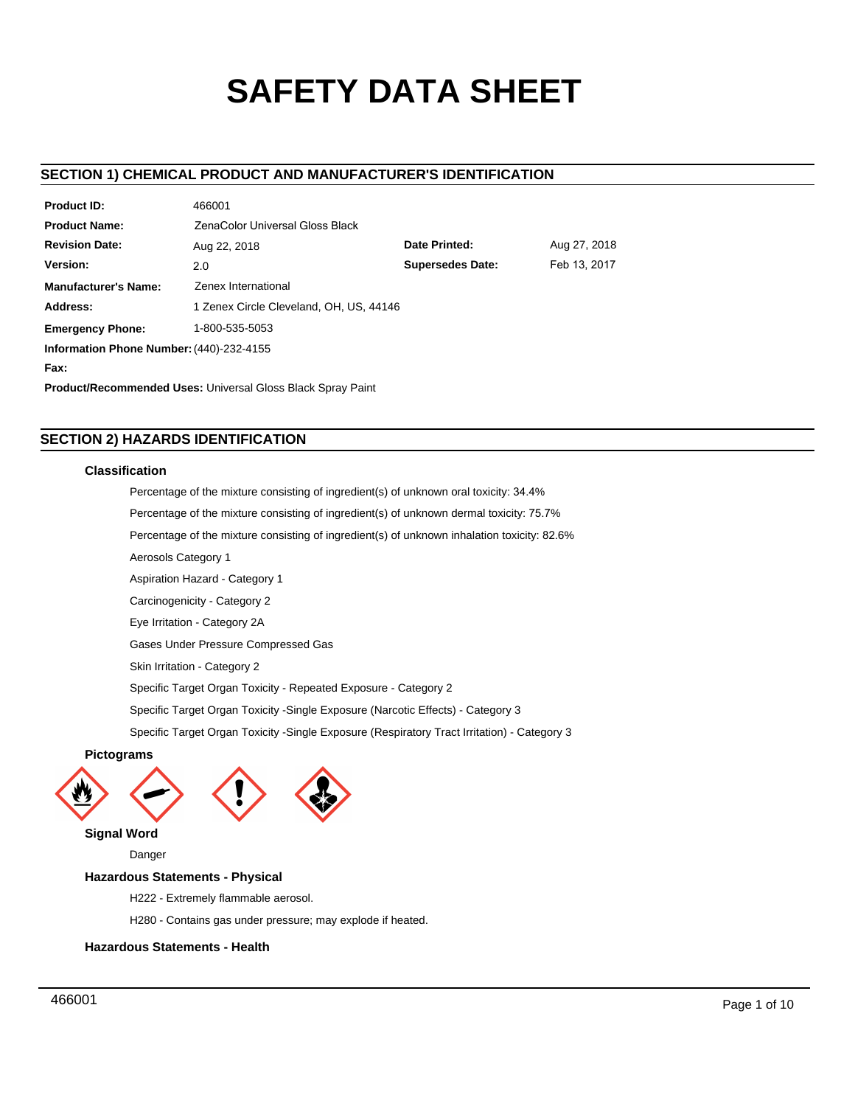# **SAFETY DATA SHEET**

# **SECTION 1) CHEMICAL PRODUCT AND MANUFACTURER'S IDENTIFICATION**

| <b>Product ID:</b>                                                 | 466001                                        |                         |              |  |  |  |  |
|--------------------------------------------------------------------|-----------------------------------------------|-------------------------|--------------|--|--|--|--|
| <b>Product Name:</b>                                               | ZenaColor Universal Gloss Black               |                         |              |  |  |  |  |
| <b>Revision Date:</b>                                              | Date Printed:<br>Aug 27, 2018<br>Aug 22, 2018 |                         |              |  |  |  |  |
| Version:                                                           | 2.0                                           | <b>Supersedes Date:</b> | Feb 13, 2017 |  |  |  |  |
| <b>Manufacturer's Name:</b>                                        | Zenex International                           |                         |              |  |  |  |  |
| Address:                                                           | 1 Zenex Circle Cleveland, OH, US, 44146       |                         |              |  |  |  |  |
| <b>Emergency Phone:</b>                                            | 1-800-535-5053                                |                         |              |  |  |  |  |
| Information Phone Number: (440)-232-4155                           |                                               |                         |              |  |  |  |  |
| Fax:                                                               |                                               |                         |              |  |  |  |  |
| <b>Product/Recommended Uses: Universal Gloss Black Spray Paint</b> |                                               |                         |              |  |  |  |  |

# **SECTION 2) HAZARDS IDENTIFICATION**

466001

### **Classification**

Percentage of the mixture consisting of ingredient(s) of unknown oral toxicity: 34.4%

Percentage of the mixture consisting of ingredient(s) of unknown dermal toxicity: 75.7%

Percentage of the mixture consisting of ingredient(s) of unknown inhalation toxicity: 82.6%

Aerosols Category 1

Aspiration Hazard - Category 1

Carcinogenicity - Category 2

Eye Irritation - Category 2A

Gases Under Pressure Compressed Gas

Skin Irritation - Category 2

Specific Target Organ Toxicity - Repeated Exposure - Category 2

Specific Target Organ Toxicity -Single Exposure (Narcotic Effects) - Category 3

Specific Target Organ Toxicity -Single Exposure (Respiratory Tract Irritation) - Category 3

### **Pictograms**





**Signal Word**

Danger

### **Hazardous Statements - Physical**

H222 - Extremely flammable aerosol.

H280 - Contains gas under pressure; may explode if heated.

## **Hazardous Statements - Health**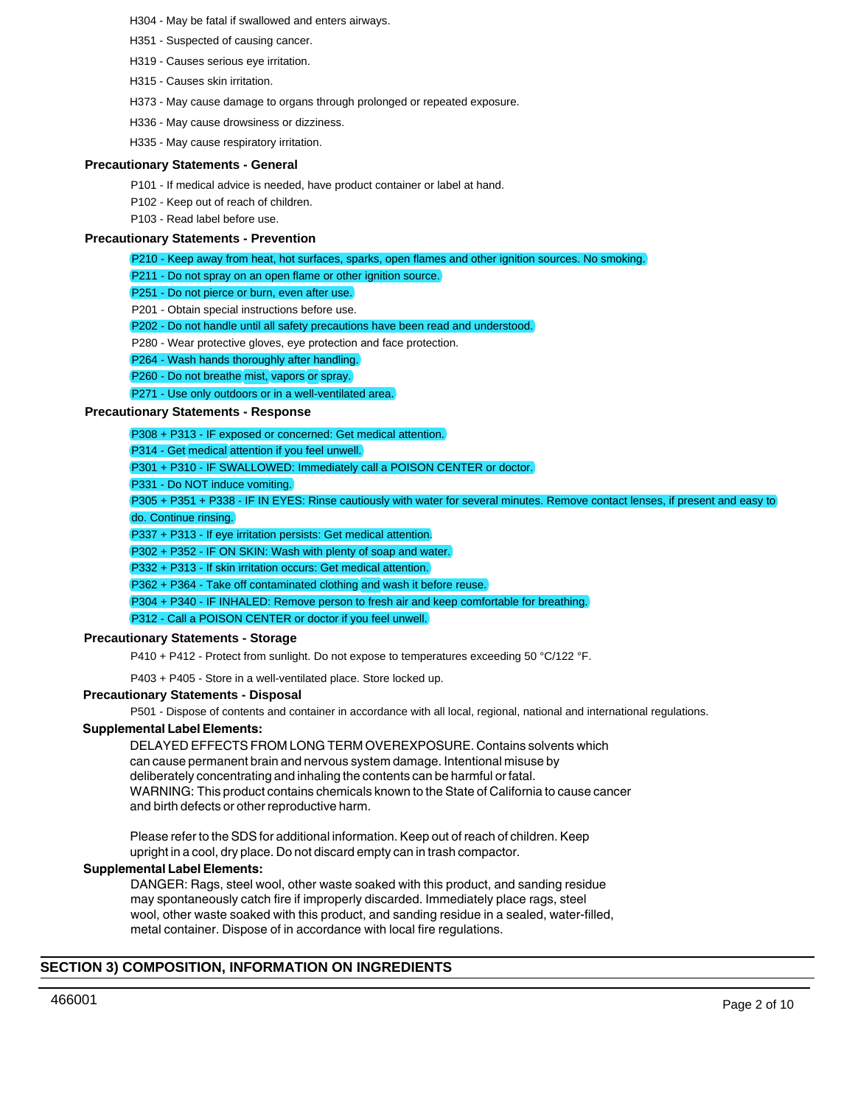- H304 May be fatal if swallowed and enters airways.
- H351 Suspected of causing cancer.
- H319 Causes serious eye irritation.
- H315 Causes skin irritation.
- H373 May cause damage to organs through prolonged or repeated exposure.
- H336 May cause drowsiness or dizziness.
- H335 May cause respiratory irritation.

### **Precautionary Statements - General**

- P101 If medical advice is needed, have product container or label at hand.
- P102 Keep out of reach of children.
- P103 Read label before use.

### **Precautionary Statements - Prevention**

- P210 Keep away from heat, hot surfaces, sparks, open flames and other ignition sources. No smoking.
- P211 Do not spray on an open flame or other ignition source.
- P251 Do not pierce or burn, even after use.
- P201 Obtain special instructions before use.
- P202 Do not handle until all safety precautions have been read and understood.
- P280 Wear protective gloves, eye protection and face protection.
- P264 Wash hands thoroughly after handling.
- P260 Do not breathe mist, vapors or spray.
- P271 Use only outdoors or in a well-ventilated area.

### **Precautionary Statements - Response**

- P308 + P313 IF exposed or concerned: Get medical attention.
- P314 Get medical attention if you feel unwell.
- P301 + P310 IF SWALLOWED: Immediately call a POISON CENTER or doctor.
- P331 Do NOT induce vomiting.
- P305 + P351 + P338 IF IN EYES: Rinse cautiously with water for several minutes. Remove contact lenses, if present and easy to do. Continue rinsing.
- P337 + P313 If eye irritation persists: Get medical attention.
- P302 + P352 IF ON SKIN: Wash with plenty of soap and water.
- P332 + P313 If skin irritation occurs: Get medical attention.
- P362 + P364 Take off contaminated clothing and wash it before reuse.
- P304 + P340 IF INHALED: Remove person to fresh air and keep comfortable for breathing.

### P312 - Call a POISON CENTER or doctor if you feel unwell.

### **Precautionary Statements - Storage**

P410 + P412 - Protect from sunlight. Do not expose to temperatures exceeding 50 °C/122 °F.

P403 + P405 - Store in a well-ventilated place. Store locked up.

### **Precautionary Statements - Disposal**

P501 - Dispose of contents and container in accordance with all local, regional, national and international regulations.

# **Supplemental Label Elements:**

DELAYED EFFECTS FROM LONG TERM OVEREXPOSURE. Contains solvents which can cause permanent brain and nervous system damage. Intentional misuse by deliberately concentrating and inhaling the contents can be harmful or fatal. WARNING: This product contains chemicals known to the State of California to cause cancer and birth defects or other reproductive harm.

Please refer to the SDS for additional information. Keep out of reach of children. Keep upright in a cool, dry place. Do not discard empty can in trash compactor.

### **Supplemental Label Elements:**

DANGER: Rags, steel wool, other waste soaked with this product, and sanding residue may spontaneously catch fire if improperly discarded. Immediately place rags, steel wool, other waste soaked with this product, and sanding residue in a sealed, water-filled, metal container. Dispose of in accordance with local fire regulations.

# **SECTION 3) COMPOSITION, INFORMATION ON INGREDIENTS**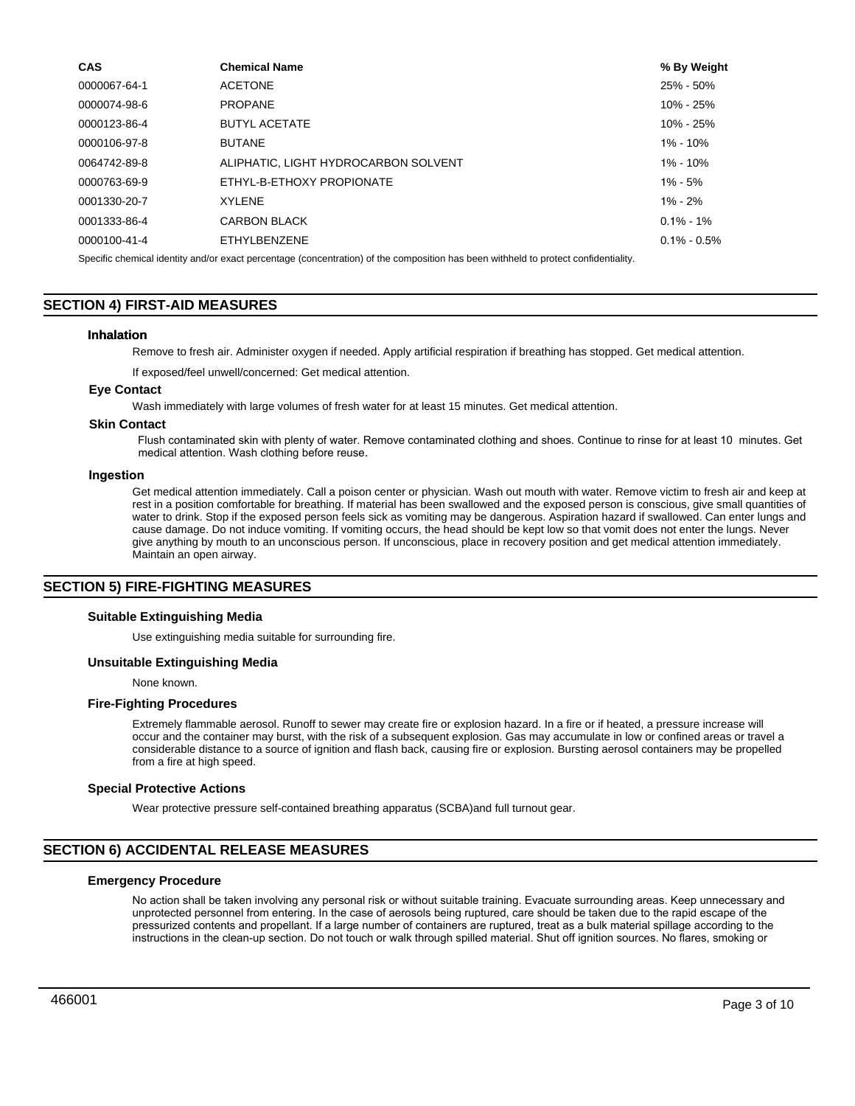| <b>CAS</b>                                                                                                                          | <b>Chemical Name</b>                 | % By Weight     |  |  |  |
|-------------------------------------------------------------------------------------------------------------------------------------|--------------------------------------|-----------------|--|--|--|
| 0000067-64-1                                                                                                                        | <b>ACETONE</b>                       | 25% - 50%       |  |  |  |
| 0000074-98-6                                                                                                                        | <b>PROPANE</b>                       | $10\% - 25\%$   |  |  |  |
| 0000123-86-4                                                                                                                        | <b>BUTYL ACETATE</b>                 | $10\% - 25\%$   |  |  |  |
| 0000106-97-8                                                                                                                        | <b>BUTANE</b>                        | $1\% - 10\%$    |  |  |  |
| 0064742-89-8                                                                                                                        | ALIPHATIC. LIGHT HYDROCARBON SOLVENT | $1\% - 10\%$    |  |  |  |
| 0000763-69-9                                                                                                                        | ETHYL-B-ETHOXY PROPIONATE            | $1\% - 5\%$     |  |  |  |
| 0001330-20-7                                                                                                                        | <b>XYLENE</b>                        | $1\% - 2\%$     |  |  |  |
| 0001333-86-4                                                                                                                        | <b>CARBON BLACK</b>                  | $0.1\% - 1\%$   |  |  |  |
| 0000100-41-4                                                                                                                        | ETHYLBENZENE                         | $0.1\% - 0.5\%$ |  |  |  |
| Specific chemical identity and/or exact percentage (concentration) of the composition has been withheld to protect confidentiality. |                                      |                 |  |  |  |

# **SECTION 4) FIRST-AID MEASURES**

### **Inhalation**

Remove to fresh air. Administer oxygen if needed. Apply artificial respiration if breathing has stopped. Get medical attention.

If exposed/feel unwell/concerned: Get medical attention.

### **Eye Contact**

Wash immediately with large volumes of fresh water for at least 15 minutes. Get medical attention.

### **Skin Contact**

Flush contaminated skin with plenty of water. Remove contaminated clothing and shoes. Continue to rinse for at least 10 minutes. Get medical attention. Wash clothing before reuse.

### **Ingestion**

Get medical attention immediately. Call a poison center or physician. Wash out mouth with water. Remove victim to fresh air and keep at rest in a position comfortable for breathing. If material has been swallowed and the exposed person is conscious, give small quantities of water to drink. Stop if the exposed person feels sick as vomiting may be dangerous. Aspiration hazard if swallowed. Can enter lungs and cause damage. Do not induce vomiting. If vomiting occurs, the head should be kept low so that vomit does not enter the lungs. Never give anything by mouth to an unconscious person. If unconscious, place in recovery position and get medical attention immediately. Maintain an open airway.

### **SECTION 5) FIRE-FIGHTING MEASURES**

### **Suitable Extinguishing Media**

Use extinguishing media suitable for surrounding fire.

### **Unsuitable Extinguishing Media**

None known.

### **Fire-Fighting Procedures**

Extremely flammable aerosol. Runoff to sewer may create fire or explosion hazard. In a fire or if heated, a pressure increase will occur and the container may burst, with the risk of a subsequent explosion. Gas may accumulate in low or confined areas or travel a considerable distance to a source of ignition and flash back, causing fire or explosion. Bursting aerosol containers may be propelled from a fire at high speed.

### **Special Protective Actions**

Wear protective pressure self-contained breathing apparatus (SCBA)and full turnout gear.

### **SECTION 6) ACCIDENTAL RELEASE MEASURES**

### **Emergency Procedure**

No action shall be taken involving any personal risk or without suitable training. Evacuate surrounding areas. Keep unnecessary and unprotected personnel from entering. In the case of aerosols being ruptured, care should be taken due to the rapid escape of the pressurized contents and propellant. If a large number of containers are ruptured, treat as a bulk material spillage according to the instructions in the clean-up section. Do not touch or walk through spilled material. Shut off ignition sources. No flares, smoking or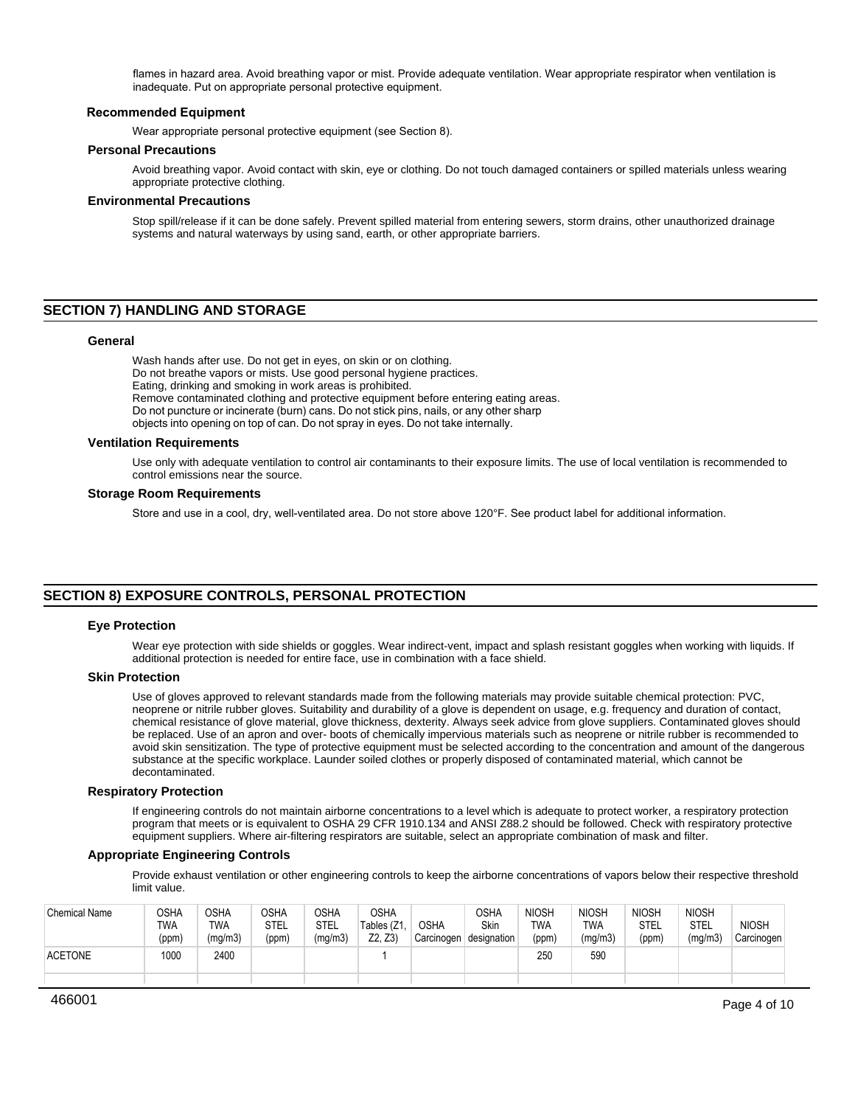flames in hazard area. Avoid breathing vapor or mist. Provide adequate ventilation. Wear appropriate respirator when ventilation is inadequate. Put on appropriate personal protective equipment.

### **Recommended Equipment**

Wear appropriate personal protective equipment (see Section 8).

### **Personal Precautions**

Avoid breathing vapor. Avoid contact with skin, eye or clothing. Do not touch damaged containers or spilled materials unless wearing appropriate protective clothing.

### **Environmental Precautions**

Stop spill/release if it can be done safely. Prevent spilled material from entering sewers, storm drains, other unauthorized drainage systems and natural waterways by using sand, earth, or other appropriate barriers.

## **SECTION 7) HANDLING AND STORAGE**

### **General**

Wash hands after use. Do not get in eyes, on skin or on clothing. Do not breathe vapors or mists. Use good personal hygiene practices. Eating, drinking and smoking in work areas is prohibited. Remove contaminated clothing and protective equipment before entering eating areas. Do not puncture or incinerate (burn) cans. Do not stick pins, nails, or any other sharp objects into opening on top of can. Do not spray in eyes. Do not take internally.

### **Ventilation Requirements**

Use only with adequate ventilation to control air contaminants to their exposure limits. The use of local ventilation is recommended to control emissions near the source.

### **Storage Room Requirements**

Store and use in a cool, dry, well-ventilated area. Do not store above 120°F. See product label for additional information.

# **SECTION 8) EXPOSURE CONTROLS, PERSONAL PROTECTION**

### **Eye Protection**

Wear eye protection with side shields or goggles. Wear indirect-vent, impact and splash resistant goggles when working with liquids. If additional protection is needed for entire face, use in combination with a face shield.

### **Skin Protection**

Use of gloves approved to relevant standards made from the following materials may provide suitable chemical protection: PVC, neoprene or nitrile rubber gloves. Suitability and durability of a glove is dependent on usage, e.g. frequency and duration of contact, chemical resistance of glove material, glove thickness, dexterity. Always seek advice from glove suppliers. Contaminated gloves should be replaced. Use of an apron and over- boots of chemically impervious materials such as neoprene or nitrile rubber is recommended to avoid skin sensitization. The type of protective equipment must be selected according to the concentration and amount of the dangerous substance at the specific workplace. Launder soiled clothes or properly disposed of contaminated material, which cannot be decontaminated.

### **Respiratory Protection**

If engineering controls do not maintain airborne concentrations to a level which is adequate to protect worker, a respiratory protection program that meets or is equivalent to OSHA 29 CFR 1910.134 and ANSI Z88.2 should be followed. Check with respiratory protective equipment suppliers. Where air-filtering respirators are suitable, select an appropriate combination of mask and filter.

### **Appropriate Engineering Controls**

Provide exhaust ventilation or other engineering controls to keep the airborne concentrations of vapors below their respective threshold limit value.

| <b>Chemical Name</b> | OSHA<br>TWA<br>(ppm) | <b>OSHA</b><br>TWA<br>(mg/m3) | OSHA<br>STEL<br>(ppm) | <b>OSHA</b><br><b>STEL</b><br>(mg/m3) | OSHA<br>Tables (Z1<br>Z2. Z3) | <b>OSHA</b> | <b>OSHA</b><br>Skin<br>Carcinogen designation | <b>NIOSH</b><br>TWA<br>(ppm) | <b>NIOSH</b><br><b>TWA</b><br>(mg/m3) | <b>NIOSH</b><br>STEL<br>(ppm) | <b>NIOSH</b><br>STEL<br>(mg/m3) | <b>NIOSH</b><br>Carcinogen |
|----------------------|----------------------|-------------------------------|-----------------------|---------------------------------------|-------------------------------|-------------|-----------------------------------------------|------------------------------|---------------------------------------|-------------------------------|---------------------------------|----------------------------|
| <b>ACETONE</b>       | 1000                 | 2400                          |                       |                                       |                               |             |                                               | 250                          | 590                                   |                               |                                 |                            |
|                      |                      |                               |                       |                                       |                               |             |                                               |                              |                                       |                               |                                 |                            |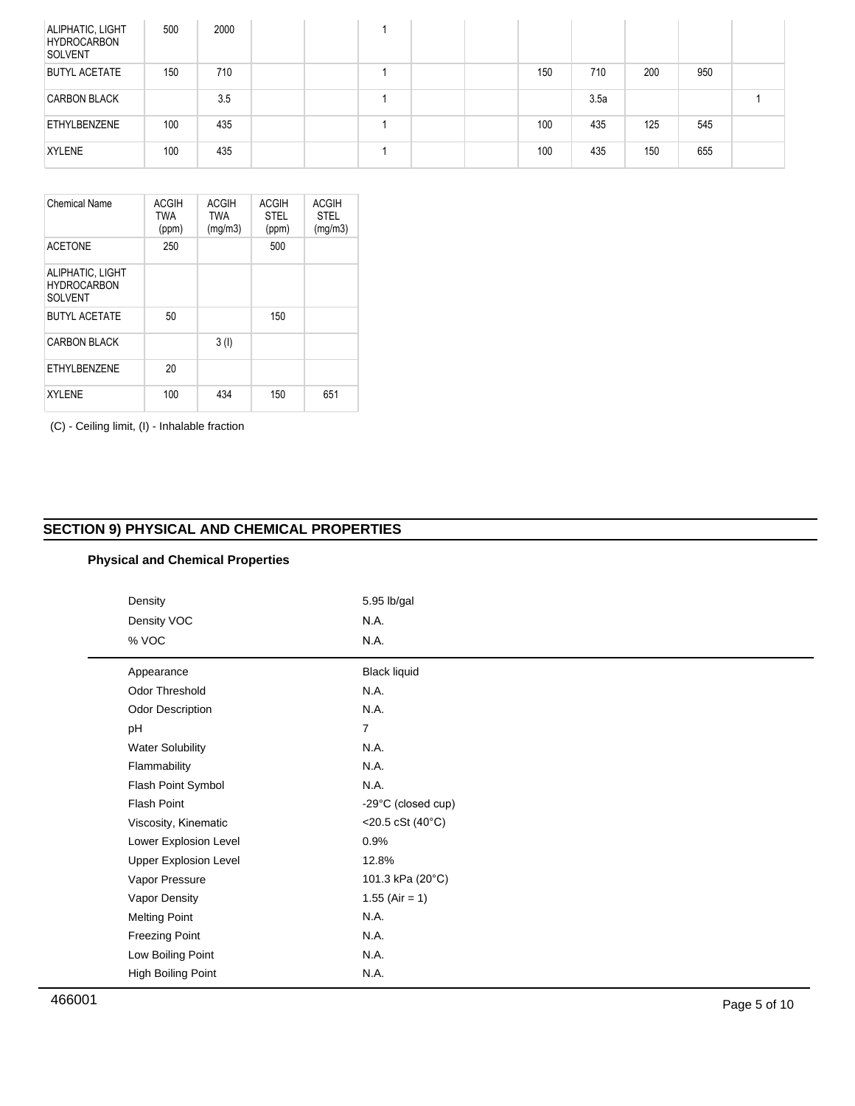| ALIPHATIC, LIGHT<br><b>HYDROCARBON</b><br>SOLVENT | 500 | 2000 |  |  |     |      |     |     |  |
|---------------------------------------------------|-----|------|--|--|-----|------|-----|-----|--|
| <b>BUTYL ACETATE</b>                              | 150 | 710  |  |  | 150 | 710  | 200 | 950 |  |
| <b>CARBON BLACK</b>                               |     | 3.5  |  |  |     | 3.5a |     |     |  |
| ETHYLBENZENE                                      | 100 | 435  |  |  | 100 | 435  | 125 | 545 |  |
| <b>XYLENE</b>                                     | 100 | 435  |  |  | 100 | 435  | 150 | 655 |  |

| Chemical Name                                            | <b>ACGIH</b><br><b>TWA</b><br>(ppm) | <b>ACGIH</b><br><b>TWA</b><br>(mg/m3) | <b>ACGIH</b><br><b>STEL</b><br>(ppm) | <b>ACGIH</b><br>STFI<br>(mg/m3) |
|----------------------------------------------------------|-------------------------------------|---------------------------------------|--------------------------------------|---------------------------------|
| <b>ACETONE</b>                                           | 250                                 |                                       | 500                                  |                                 |
| ALIPHATIC, LIGHT<br><b>HYDROCARBON</b><br><b>SOLVENT</b> |                                     |                                       |                                      |                                 |
| <b>BUTYL ACETATE</b>                                     | 50                                  |                                       | 150                                  |                                 |
| <b>CARBON BLACK</b>                                      |                                     | 3(1)                                  |                                      |                                 |
| FTHYL BENZENE                                            | 20                                  |                                       |                                      |                                 |
| <b>XYLENE</b>                                            | 100                                 | 434                                   | 150                                  | 651                             |

(C) - Ceiling limit, (I) - Inhalable fraction

# **SECTION 9) PHYSICAL AND CHEMICAL PROPERTIES**

# **Physical and Chemical Properties**

| Density                      | 5.95 lb/gal                    |  |  |  |
|------------------------------|--------------------------------|--|--|--|
| Density VOC                  | N.A.                           |  |  |  |
| % VOC                        | N.A.                           |  |  |  |
| Appearance                   | <b>Black liquid</b>            |  |  |  |
| Odor Threshold               | N.A.                           |  |  |  |
| Odor Description             | N.A.                           |  |  |  |
| pH                           | $\overline{7}$                 |  |  |  |
| <b>Water Solubility</b>      | N.A.                           |  |  |  |
| Flammability                 | N.A.                           |  |  |  |
| Flash Point Symbol           | N.A.                           |  |  |  |
| Flash Point                  | -29°C (closed cup)             |  |  |  |
| Viscosity, Kinematic         | $<$ 20.5 cSt (40 $^{\circ}$ C) |  |  |  |
| Lower Explosion Level        | 0.9%                           |  |  |  |
| <b>Upper Explosion Level</b> | 12.8%                          |  |  |  |
| Vapor Pressure               | 101.3 kPa (20°C)               |  |  |  |
| Vapor Density                | $1.55$ (Air = 1)               |  |  |  |
| <b>Melting Point</b>         | N.A.                           |  |  |  |
| <b>Freezing Point</b>        | N.A.                           |  |  |  |
| Low Boiling Point            | N.A.                           |  |  |  |
| High Boiling Point           | N.A.                           |  |  |  |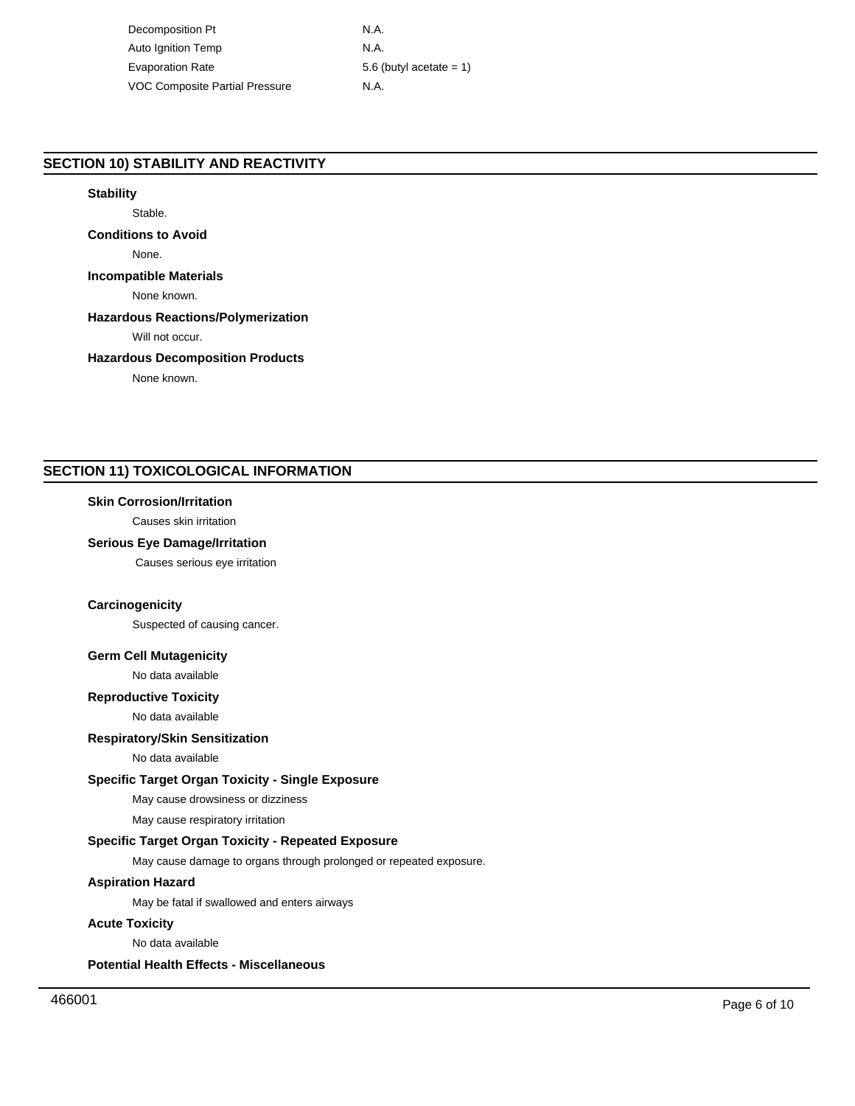Decomposition Pt N.A. Auto Ignition Temp N.A. Evaporation Rate 5.6 (butyl acetate = 1) VOC Composite Partial Pressure M.A.

# **SECTION 10) STABILITY AND REACTIVITY**

# **Stability**

Stable.

# **Conditions to Avoid**

None.

# **Incompatible Materials**

None known.

# **Hazardous Reactions/Polymerization**

Will not occur.

# **Hazardous Decomposition Products**

None known.

# **SECTION 11) TOXICOLOGICAL INFORMATION**

## **Skin Corrosion/Irritation**

Causes skin irritation

## **Serious Eye Damage/Irritation**

Causes serious eye irritation

# **Carcinogenicity**

Suspected of causing cancer.

## **Germ Cell Mutagenicity**

No data available

# **Reproductive Toxicity**

No data available

# **Respiratory/Skin Sensitization**

No data available

# **Specific Target Organ Toxicity - Single Exposure**

May cause drowsiness or dizziness

May cause respiratory irritation

# **Specific Target Organ Toxicity - Repeated Exposure**

May cause damage to organs through prolonged or repeated exposure.

# **Aspiration Hazard**

May be fatal if swallowed and enters airways

## **Acute Toxicity**

No data available

**Potential Health Effects - Miscellaneous**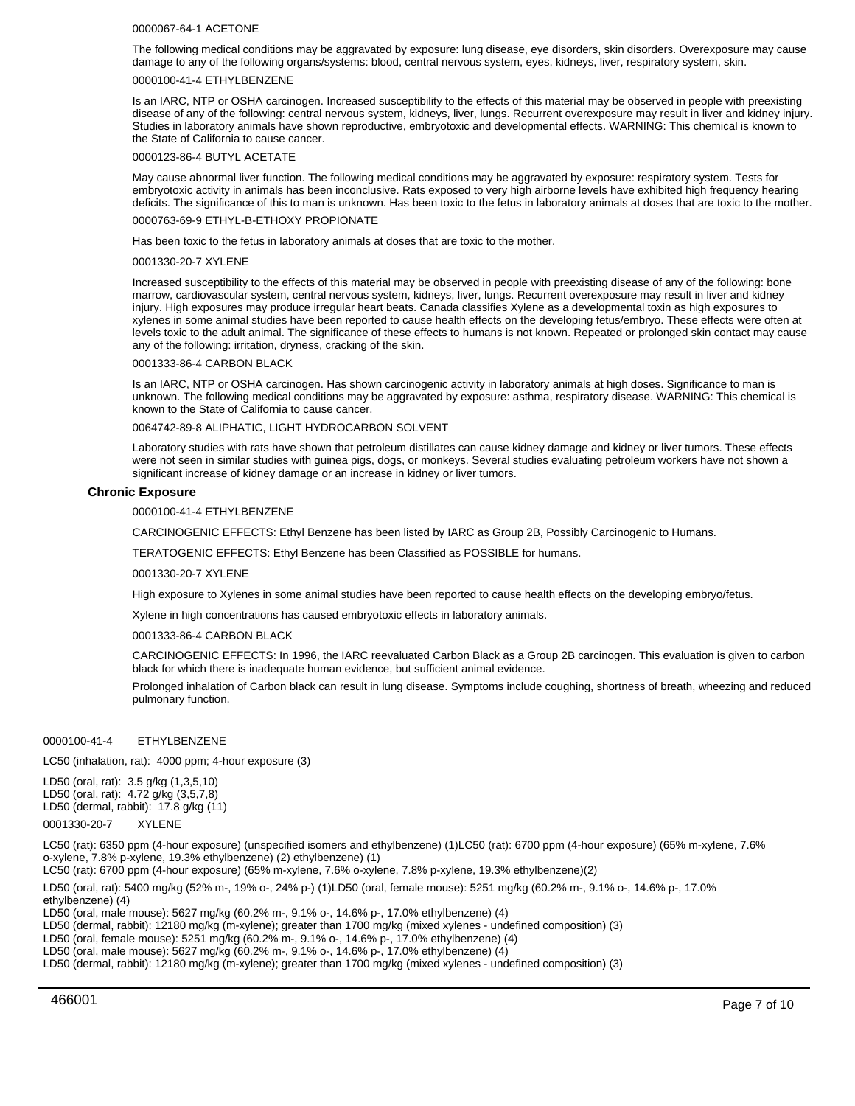#### 0000067-64-1 ACETONE

The following medical conditions may be aggravated by exposure: lung disease, eye disorders, skin disorders. Overexposure may cause damage to any of the following organs/systems: blood, central nervous system, eyes, kidneys, liver, respiratory system, skin.

### 0000100-41-4 ETHYLBENZENE

Is an IARC, NTP or OSHA carcinogen. Increased susceptibility to the effects of this material may be observed in people with preexisting disease of any of the following: central nervous system, kidneys, liver, lungs. Recurrent overexposure may result in liver and kidney injury. Studies in laboratory animals have shown reproductive, embryotoxic and developmental effects. WARNING: This chemical is known to the State of California to cause cancer.

#### 0000123-86-4 BUTYL ACETATE

May cause abnormal liver function. The following medical conditions may be aggravated by exposure: respiratory system. Tests for embryotoxic activity in animals has been inconclusive. Rats exposed to very high airborne levels have exhibited high frequency hearing deficits. The significance of this to man is unknown. Has been toxic to the fetus in laboratory animals at doses that are toxic to the mother.

#### 0000763-69-9 ETHYL-B-ETHOXY PROPIONATE

Has been toxic to the fetus in laboratory animals at doses that are toxic to the mother.

#### 0001330-20-7 XYLENE

Increased susceptibility to the effects of this material may be observed in people with preexisting disease of any of the following: bone marrow, cardiovascular system, central nervous system, kidneys, liver, lungs. Recurrent overexposure may result in liver and kidney injury. High exposures may produce irregular heart beats. Canada classifies Xylene as a developmental toxin as high exposures to xylenes in some animal studies have been reported to cause health effects on the developing fetus/embryo. These effects were often at levels toxic to the adult animal. The significance of these effects to humans is not known. Repeated or prolonged skin contact may cause any of the following: irritation, dryness, cracking of the skin.

#### 0001333-86-4 CARBON BLACK

Is an IARC, NTP or OSHA carcinogen. Has shown carcinogenic activity in laboratory animals at high doses. Significance to man is unknown. The following medical conditions may be aggravated by exposure: asthma, respiratory disease. WARNING: This chemical is known to the State of California to cause cancer.

#### 0064742-89-8 ALIPHATIC, LIGHT HYDROCARBON SOLVENT

Laboratory studies with rats have shown that petroleum distillates can cause kidney damage and kidney or liver tumors. These effects were not seen in similar studies with guinea pigs, dogs, or monkeys. Several studies evaluating petroleum workers have not shown a significant increase of kidney damage or an increase in kidney or liver tumors.

### **Chronic Exposure**

### 0000100-41-4 ETHYLBENZENE

CARCINOGENIC EFFECTS: Ethyl Benzene has been listed by IARC as Group 2B, Possibly Carcinogenic to Humans.

TERATOGENIC EFFECTS: Ethyl Benzene has been Classified as POSSIBLE for humans.

#### 0001330-20-7 XYLENE

High exposure to Xylenes in some animal studies have been reported to cause health effects on the developing embryo/fetus.

Xylene in high concentrations has caused embryotoxic effects in laboratory animals.

#### 0001333-86-4 CARBON BLACK

CARCINOGENIC EFFECTS: In 1996, the IARC reevaluated Carbon Black as a Group 2B carcinogen. This evaluation is given to carbon black for which there is inadequate human evidence, but sufficient animal evidence.

Prolonged inhalation of Carbon black can result in lung disease. Symptoms include coughing, shortness of breath, wheezing and reduced pulmonary function.

### 0000100-41-4 ETHYLBENZENE

LC50 (inhalation, rat): 4000 ppm; 4-hour exposure (3)

LD50 (oral, rat): 3.5 g/kg (1,3,5,10) LD50 (oral, rat): 4.72 g/kg (3,5,7,8) LD50 (dermal, rabbit): 17.8 g/kg (11)

0001330-20-7 XYLENE

LC50 (rat): 6350 ppm (4-hour exposure) (unspecified isomers and ethylbenzene) (1)LC50 (rat): 6700 ppm (4-hour exposure) (65% m-xylene, 7.6% o-xylene, 7.8% p-xylene, 19.3% ethylbenzene) (2) ethylbenzene) (1)

LC50 (rat): 6700 ppm (4-hour exposure) (65% m-xylene, 7.6% o-xylene, 7.8% p-xylene, 19.3% ethylbenzene)(2)

LD50 (oral, rat): 5400 mg/kg (52% m-, 19% o-, 24% p-) (1)LD50 (oral, female mouse): 5251 mg/kg (60.2% m-, 9.1% o-, 14.6% p-, 17.0% ethylbenzene) (4)

LD50 (oral, male mouse): 5627 mg/kg (60.2% m-, 9.1% o-, 14.6% p-, 17.0% ethylbenzene) (4)

LD50 (dermal, rabbit): 12180 mg/kg (m-xylene); greater than 1700 mg/kg (mixed xylenes - undefined composition) (3)

LD50 (oral, female mouse): 5251 mg/kg (60.2% m-, 9.1% o-, 14.6% p-, 17.0% ethylbenzene) (4)

LD50 (oral, male mouse): 5627 mg/kg (60.2% m-, 9.1% o-, 14.6% p-, 17.0% ethylbenzene) (4)

LD50 (dermal, rabbit): 12180 mg/kg (m-xylene); greater than 1700 mg/kg (mixed xylenes - undefined composition) (3)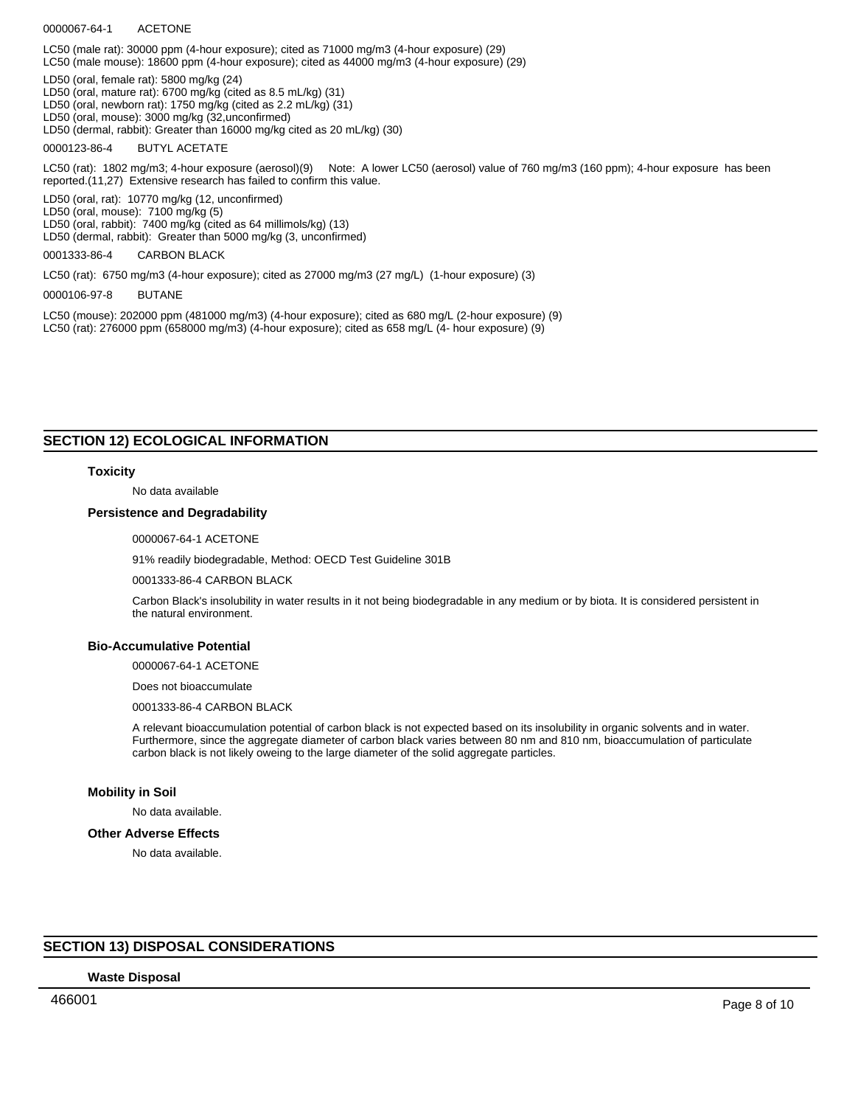### 0000067-64-1 ACETONE

LC50 (male rat): 30000 ppm (4-hour exposure); cited as 71000 mg/m3 (4-hour exposure) (29)

LC50 (male mouse): 18600 ppm (4-hour exposure); cited as 44000 mg/m3 (4-hour exposure) (29)

LD50 (oral, female rat): 5800 mg/kg (24)

LD50 (oral, mature rat): 6700 mg/kg (cited as 8.5 mL/kg) (31)

LD50 (oral, newborn rat): 1750 mg/kg (cited as 2.2 mL/kg) (31)

LD50 (oral, mouse): 3000 mg/kg (32,unconfirmed)

LD50 (dermal, rabbit): Greater than 16000 mg/kg cited as 20 mL/kg) (30)

0000123-86-4 BUTYL ACETATE

LC50 (rat): 1802 mg/m3; 4-hour exposure (aerosol)(9) Note: A lower LC50 (aerosol) value of 760 mg/m3 (160 ppm); 4-hour exposure has been reported.(11,27) Extensive research has failed to confirm this value.

LD50 (oral, rat): 10770 mg/kg (12, unconfirmed)

LD50 (oral, mouse): 7100 mg/kg (5)

LD50 (oral, rabbit): 7400 mg/kg (cited as 64 millimols/kg) (13)

LD50 (dermal, rabbit): Greater than 5000 mg/kg (3, unconfirmed)

0001333-86-4 CARBON BLACK

LC50 (rat): 6750 mg/m3 (4-hour exposure); cited as 27000 mg/m3 (27 mg/L) (1-hour exposure) (3)

0000106-97-8 BUTANE

LC50 (mouse): 202000 ppm (481000 mg/m3) (4-hour exposure); cited as 680 mg/L (2-hour exposure) (9) LC50 (rat): 276000 ppm (658000 mg/m3) (4-hour exposure); cited as 658 mg/L (4- hour exposure) (9)

### **SECTION 12) ECOLOGICAL INFORMATION**

### **Toxicity**

No data available

### **Persistence and Degradability**

0000067-64-1 ACETONE

91% readily biodegradable, Method: OECD Test Guideline 301B

0001333-86-4 CARBON BLACK

Carbon Black's insolubility in water results in it not being biodegradable in any medium or by biota. It is considered persistent in the natural environment.

### **Bio-Accumulative Potential**

0000067-64-1 ACETONE

Does not bioaccumulate

0001333-86-4 CARBON BLACK

A relevant bioaccumulation potential of carbon black is not expected based on its insolubility in organic solvents and in water. Furthermore, since the aggregate diameter of carbon black varies between 80 nm and 810 nm, bioaccumulation of particulate carbon black is not likely oweing to the large diameter of the solid aggregate particles.

### **Mobility in Soil**

No data available.

#### **Other Adverse Effects**

No data available.

### **SECTION 13) DISPOSAL CONSIDERATIONS**

#### **Waste Disposal**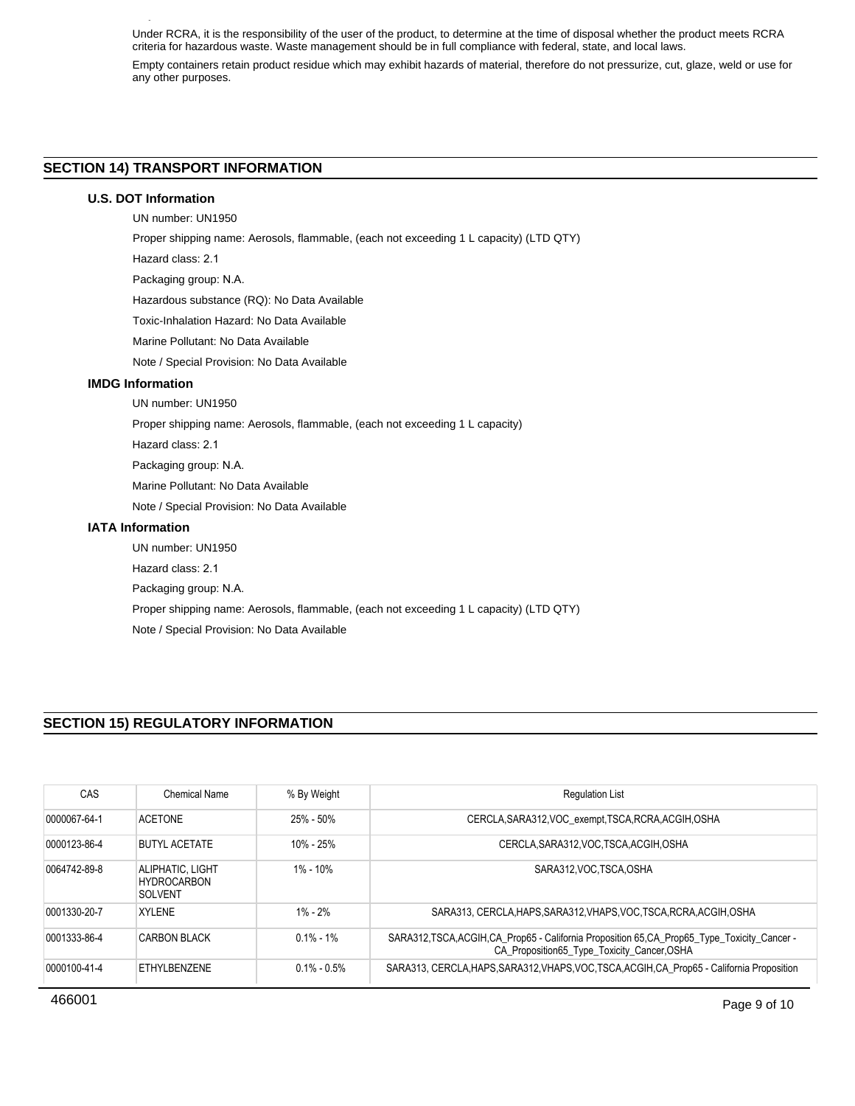Under RCRA, it is the responsibility of the user of the product, to determine at the time of disposal whether the product meets RCRA criteria for hazardous waste. Waste management should be in full compliance with federal, state, and local laws.

Empty containers retain product residue which may exhibit hazards of material, therefore do not pressurize, cut, glaze, weld or use for any other purposes.

# **SECTION 14) TRANSPORT INFORMATION**

### **U.S. DOT Information**

**Waste Disposal**

UN number: UN1950

Proper shipping name: Aerosols, flammable, (each not exceeding 1 L capacity) (LTD QTY)

Hazard class: 2.1

Packaging group: N.A.

Hazardous substance (RQ): No Data Available

Toxic-Inhalation Hazard: No Data Available

Marine Pollutant: No Data Available

Note / Special Provision: No Data Available

# **IMDG Information**

UN number: UN1950

Proper shipping name: Aerosols, flammable, (each not exceeding 1 L capacity)

Hazard class: 2.1

Packaging group: N.A.

Marine Pollutant: No Data Available

Note / Special Provision: No Data Available

### **IATA Information**

UN number: UN1950 Hazard class: 2.1 Packaging group: N.A. Proper shipping name: Aerosols, flammable, (each not exceeding 1 L capacity) (LTD QTY) Note / Special Provision: No Data Available

# **SECTION 15) REGULATORY INFORMATION**

| CAS          | Chemical Name                                     | % By Weight     | <b>Regulation List</b>                                                                                                                      |
|--------------|---------------------------------------------------|-----------------|---------------------------------------------------------------------------------------------------------------------------------------------|
| 0000067-64-1 | <b>ACFTONE</b>                                    | 25% - 50%       | CERCLA, SARA312, VOC exempt, TSCA, RCRA, ACGIH, OSHA                                                                                        |
| 0000123-86-4 | <b>BUTYL ACETATE</b>                              | $10\% - 25\%$   | CERCLA.SARA312.VOC.TSCA.ACGIH.OSHA                                                                                                          |
| 0064742-89-8 | ALIPHATIC, LIGHT<br><b>HYDROCARBON</b><br>SOLVENT | $1\% - 10\%$    | SARA312 VOC TSCA OSHA                                                                                                                       |
| 0001330-20-7 | <b>XYLENE</b>                                     | $1\% - 2\%$     | SARA313, CERCLA HAPS SARA312 VHAPS VOC TSCA RCRA ACGIH OSHA                                                                                 |
| 0001333-86-4 | <b>CARBON BLACK</b>                               | $0.1\% - 1\%$   | SARA312, TSCA, ACGIH, CA_Prop65 - California Proposition 65, CA_Prop65_Type_Toxicity_Cancer -<br>CA_Proposition65_Type_Toxicity_Cancer,OSHA |
| 0000100-41-4 | FTHYL BENZENE                                     | $0.1\% - 0.5\%$ | SARA313, CERCLA, HAPS, SARA312, VHAPS, VOC, TSCA, ACGIH, CA Prop65 - California Proposition                                                 |